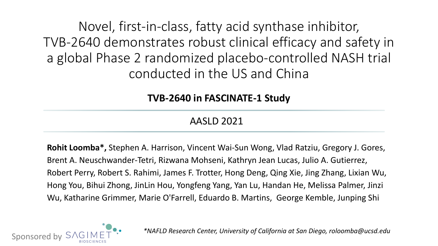Novel, first-in-class, fatty acid synthase inhibitor, TVB-2640 demonstrates robust clinical efficacy and safety in a global Phase 2 randomized placebo-controlled NASH trial conducted in the US and China

**TVB-2640 in FASCINATE-1 Study**

AASLD 2021

**Rohit Loomba\*,** Stephen A. Harrison, Vincent Wai-Sun Wong, Vlad Ratziu, Gregory J. Gores, Brent A. Neuschwander-Tetri, Rizwana Mohseni, Kathryn Jean Lucas, Julio A. Gutierrez, Robert Perry, Robert S. Rahimi, James F. Trotter, Hong Deng, Qing Xie, Jing Zhang, Lixian Wu, Hong You, Bihui Zhong, JinLin Hou, Yongfeng Yang, Yan Lu, Handan He, Melissa Palmer, Jinzi Wu, Katharine Grimmer, Marie O'Farrell, Eduardo B. Martins, George Kemble, Junping Shi



*\*NAFLD Research Center, University of California at San Diego, roloomba@ucsd.edu*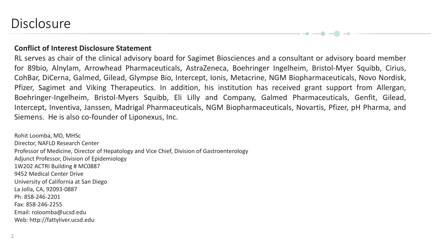## **Disclosure**

#### **Conflict of Interest Disclosure Statement**

RL serves as chair of the clinical advisory board for Sagimet Biosciences and a consultant or advisory board member for 89bio, Alnylam, Arrowhead Pharmaceuticals, AstraZeneca, Boehringer Ingelheim, Bristol-Myer Squibb, Cirius, CohBar, DiCerna, Galmed, Gilead, Glympse Bio, Intercept, Ionis, Metacrine, NGM Biopharmaceuticals, Novo Nordisk, Pfizer, Sagimet and Viking Therapeutics. In addition, his institution has received grant support from Allergan, Boehringer-Ingelheim, Bristol-Myers Squibb, Eli Lilly and Company, Galmed Pharmaceuticals, Genfit, Gilead, Intercept, Inventiva, Janssen, Madrigal Pharmaceuticals, NGM Biopharmaceuticals, Novartis, Pfizer, pH Pharma, and Siemens. He is also co-founder of Liponexus, Inc.

Rohit Loomba, MD, MHSc Director, NAFLD Research Center Professor of Medicine, Director of Hepatology and Vice Chief, Division of Gastroenterology Adjunct Professor, Division of Epidemiology 1W202 ACTRI Building # MC0887 9452 Medical Center Drive University of California at San Diego La Jolla, CA, 92093-0887 Ph: 858-246-2201 Fax: 858-246-2255 Email: roloomba@ucsd.edu Web: http://fattyliver.ucsd.edu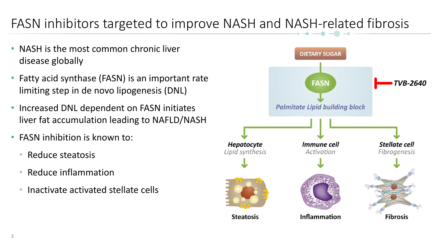# FASN inhibitors targeted to improve NASH and NASH-related fibrosis

- NASH is the most common chronic liver disease globally
- Fatty acid synthase (FASN) is an important rate limiting step in de novo lipogenesis (DNL)
- Increased DNL dependent on FASN initiates liver fat accumulation leading to NAFLD/NASH
- FASN inhibition is known to:
	- Reduce steatosis
	- Reduce inflammation
	- Inactivate activated stellate cells

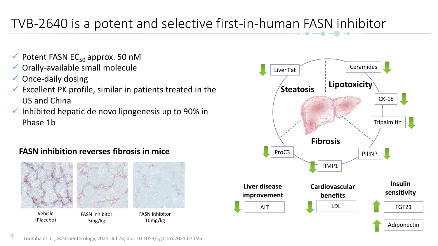# TVB-2640 is a potent and selective first-in-human FASN inhibitor

- $\checkmark$  Potent FASN EC<sub>50</sub> approx. 50 nM
- Orally-available small molecule
- $\checkmark$  Once-daily dosing
- $\checkmark$  Excellent PK profile, similar in patients treated in the US and China
- $\checkmark$  Inhibited hepatic de novo lipogenesis up to 90% in Phase 1b

### **FASN inhibition reverses fibrosis in mice**





Loomba et al., Gastroenterology, 2021, Jul 23, doi: 10.1053/j.gastro.2021.07.025.

4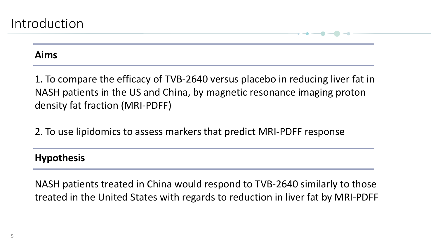### **Aims**

1. To compare the efficacy of TVB-2640 versus placebo in reducing liver fat in NASH patients in the US and China, by magnetic resonance imaging proton density fat fraction (MRI-PDFF)

2. To use lipidomics to assess markers that predict MRI-PDFF response

### **Hypothesis**

NASH patients treated in China would respond to TVB-2640 similarly to those treated in the United States with regards to reduction in liver fat by MRI-PDFF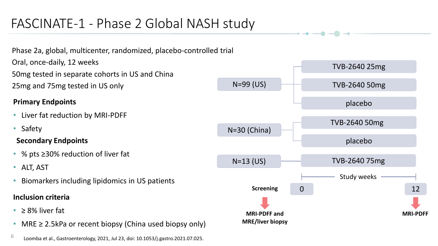# FASCINATE-1 - Phase 2 Global NASH study

Phase 2a, global, multicenter, randomized, placebo-controlled trial Oral, once-daily, 12 weeks 50mg tested in separate cohorts in US and China 25mg and 75mg tested in US only

### **Primary Endpoints**

- Liver fat reduction by MRI-PDFF
- Safety

### **Secondary Endpoints**

- % pts ≥30% reduction of liver fat
- ALT, AST
- Biomarkers including lipidomics in US patients

### **Inclusion criteria**

- $\geq$  8% liver fat
- MRE  $\geq$  2.5kPa or recent biopsy (China used biopsy only)



 $\rightarrow$   $\rightarrow$   $\rightarrow$   $\rightarrow$   $\rightarrow$ 

<sup>6</sup> Loomba et al., Gastroenterology, 2021, Jul 23, doi: 10.1053/j.gastro.2021.07.025.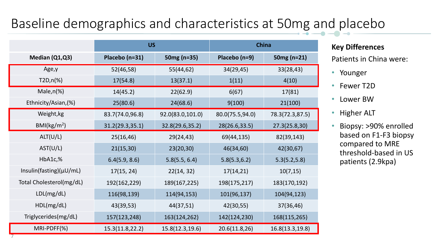# Baseline demographics and characteristics at 50mg and placebo

|                               | <b>US</b>       |                  | China           |                 |  |
|-------------------------------|-----------------|------------------|-----------------|-----------------|--|
| Median (Q1,Q3)                | Placebo (n=31)  | 50mg (n=35)      | Placebo (n=9)   | 50 $mg(n=21)$   |  |
| Age, y                        | 52(46,58)       | 55(44,62)        | 34(29,45)       | 33(28,43)       |  |
| $T2D, n(\%)$                  | 17(54.8)        | 13(37.1)         | 1(11)           | 4(10)           |  |
| Male, $n$ $%$                 | 14(45.2)        | 22(62.9)         | 6(67)           | 17(81)          |  |
| Ethnicity/Asian, (%)          | 25(80.6)        | 24(68.6)         | 9(100)          | 21(100)         |  |
| Weight, kg                    | 83.7(74.0,96.8) | 92.0(83.0,101.0) | 80.0(75.5,94.0) | 78.3(72.3,87.5) |  |
| BMl(kg/m <sup>2</sup> )       | 31.2(29.3,35.1) | 32.8(29.6,35.2)  | 28(26.6,33.5)   | 27.3(25.8, 30)  |  |
| ALT(U/L)                      | 25(16, 46)      | 29(24,43)        | 69(44,135)      | 82(39,143)      |  |
| AST(U/L)                      | 21(15,30)       | 23(20,30)        | 46(34,60)       | 42(30,67)       |  |
| HbA1c,%                       | 6.4(5.9, 8.6)   | 5.8(5.5, 6.4)    | 5.8(5.3, 6.2)   | 5.3(5.2, 5.8)   |  |
| Insulin(fasting) $(\mu U/mL)$ | 17(15, 24)      | 22(14, 32)       | 17(14,21)       | 10(7, 15)       |  |
| Total Cholesterol(mg/dL)      | 192(162,229)    | 189(167,225)     | 198(175,217)    | 183(170,192)    |  |
| LDL(mg/dL)                    | 116(98,139)     | 114(94,153)      | 101(96,137)     | 104(94,123)     |  |
| HDL(mg/dL)                    | 43(39,53)       | 44(37,51)        | 42(30,55)       | 37(36,46)       |  |
| Triglycerides(mg/dL)          | 157(123,248)    | 163(124,262)     | 142(124,230)    | 168(115,265)    |  |
| MRI-PDFF(%)                   | 15.3(11.8,22.2) | 15.8(12.3,19.6)  | 20.6(11.8, 26)  | 16.8(13.3,19.8) |  |

#### **Key Differences**

Patients in China were:

- Younger
- Fewer T2D
- Lower BW
- Higher ALT
- Biopsy: >90% enrolled based on F1-F3 biopsy compared to MRE threshold-based in US patients (2.9kpa)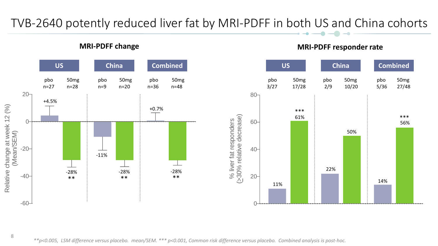### TVB-2640 potently reduced liver fat by MRI-PDFF in both US and China cohorts



### **MRI-PDFF change MRI-PDFF responder rate**



*\*\*p<0.005, LSM difference versus placebo. mean/SEM. \*\*\* p<0.001, Common risk difference versus placebo. Combined analysis is post-hoc.*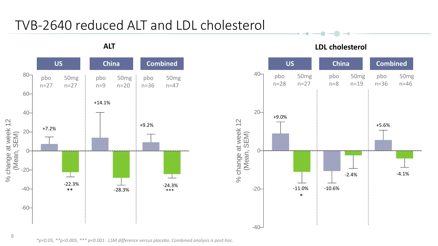# TVB-2640 reduced ALT and LDL cholesterol



 $\rightarrow$   $\rightarrow$   $\rightarrow$   $\rightarrow$ 



9

*\*p<0.05, \*\*p<0.005, \*\*\* p<0.001. LSM difference versus placebo. Combined analysis is post-hoc.*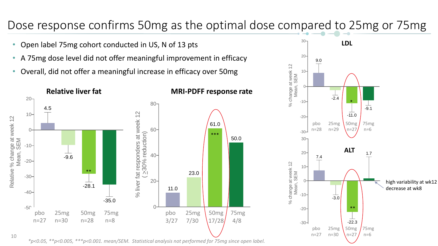## Dose response confirms 50mg as the optimal dose compared to 25mg or 75mg

- Open label 75mg cohort conducted in US, N of 13 pts
- A 75mg dose level did not offer meaningful improvement in efficacy
- Overall, did not offer a meaningful increase in efficacy over 50mg



*\*p<0.05, \*\*p<0.005, \*\*\*p<0.001. mean/SEM. Statistical analysis not performed for 75mg since open label.*

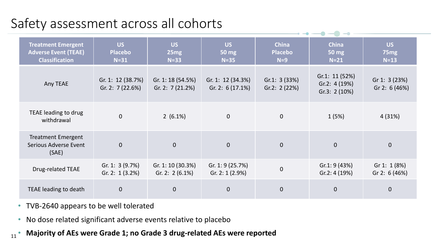# Safety assessment across all cohorts

| <b>Treatment Emergent</b><br><b>Adverse Event (TEAE)</b><br><b>Classification</b> | <b>US</b><br><b>Placebo</b><br>$N=31$  | <b>US</b><br>25mg<br>$N=33$            | US<br><b>50 mg</b><br>$N=35$            | <b>China</b><br><b>Placebo</b><br>$N=9$ | <b>China</b><br>50 mg<br>$N=21$                     | <b>US</b><br>75 <sub>mg</sub><br>$N=13$ |
|-----------------------------------------------------------------------------------|----------------------------------------|----------------------------------------|-----------------------------------------|-----------------------------------------|-----------------------------------------------------|-----------------------------------------|
| Any TEAE                                                                          | Gr. 1: 12 (38.7%)<br>Gr. 2: $7(22.6%)$ | Gr. 1: 18 (54.5%)<br>Gr. 2: $7(21.2%)$ | Gr. 1: 12 (34.3%)<br>Gr. 2: $6(17.1\%)$ | Gr.1: $3(33%)$<br>Gr.2: $2(22%)$        | Gr.1: $11(52%)$<br>Gr.2: $4(19%)$<br>Gr.3: $2(10%)$ | Gr 1: 3 (23%)<br>Gr 2: 6 (46%)          |
| TEAE leading to drug<br>withdrawal                                                | $\Omega$                               | $2(6.1\%)$                             | $\mathbf 0$                             | $\mathbf 0$                             | 1(5%)                                               | 4(31%)                                  |
| <b>Treatment Emergent</b><br>Serious Adverse Event<br>(SAE)                       | $\overline{0}$                         | $\overline{0}$                         | $\mathbf{0}$                            | $\mathbf 0$                             | $\overline{0}$                                      | $\overline{0}$                          |
| Drug-related TEAE                                                                 | Gr. 1: $3(9.7%)$<br>Gr. 2: $1(3.2%)$   | Gr. 1: 10 (30.3%)<br>Gr. 2: $2(6.1\%)$ | Gr. 1: 9 (25.7%)<br>Gr. 2: $1(2.9%)$    | $\mathbf 0$                             | Gr.1: 9(43%)<br>Gr.2: 4(19%)                        | Gr 1: $1(8%)$<br>Gr 2: 6 (46%)          |
| TEAE leading to death                                                             | $\overline{0}$                         | $\overline{0}$                         | $\mathbf 0$                             | $\mathbf 0$                             | $\overline{0}$                                      | $\overline{0}$                          |

- TVB-2640 appears to be well tolerated
- No dose related significant adverse events relative to placebo
- 11 • **Majority of AEs were Grade 1; no Grade 3 drug-related AEs were reported**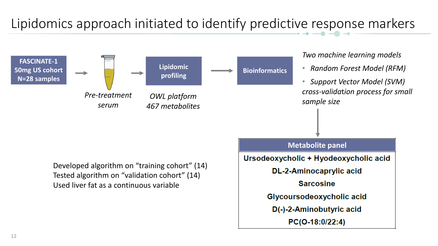# Lipidomics approach initiated to identify predictive response markers

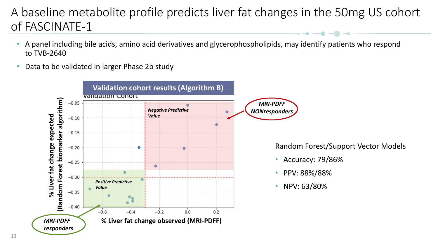## A baseline metabolite profile predicts liver fat changes in the 50mg US cohort of FASCINATE-1

- A panel including bile acids, amino acid derivatives and glycerophospholipids, may identify patients who respond to TVB-2640
- Data to be validated in larger Phase 2b study

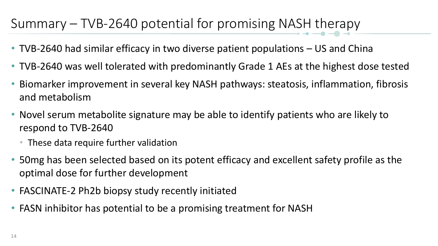# Summary – TVB-2640 potential for promising NASH therapy

- TVB-2640 had similar efficacy in two diverse patient populations US and China
- TVB-2640 was well tolerated with predominantly Grade 1 AEs at the highest dose tested
- Biomarker improvement in several key NASH pathways: steatosis, inflammation, fibrosis and metabolism
- Novel serum metabolite signature may be able to identify patients who are likely to respond to TVB-2640
	- These data require further validation
- 50mg has been selected based on its potent efficacy and excellent safety profile as the optimal dose for further development
- FASCINATE-2 Ph2b biopsy study recently initiated
- FASN inhibitor has potential to be a promising treatment for NASH